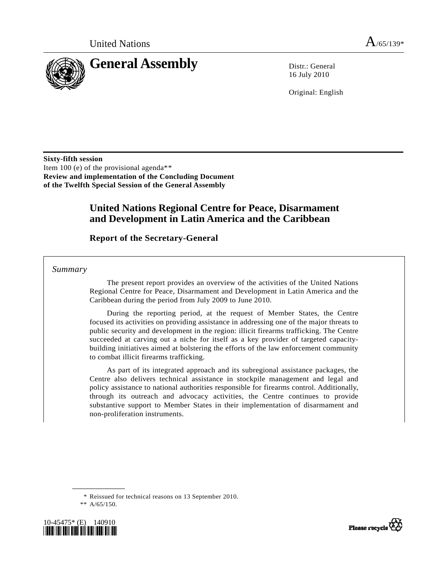

16 July 2010

Original: English

**Sixty-fifth session**  Item 100 (e) of the provisional agenda\*[\\*](#page-0-0) **Review and implementation of the Concluding Document of the Twelfth Special Session of the General Assembly** 

## **United Nations Regional Centre for Peace, Disarmament and Development in Latin America and the Caribbean**

 **Report of the Secretary-General** 

 *Summary* 

 The present report provides an overview of the activities of the United Nations Regional Centre for Peace, Disarmament and Development in Latin America and the Caribbean during the period from July 2009 to June 2010.

 During the reporting period, at the request of Member States, the Centre focused its activities on providing assistance in addressing one of the major threats to public security and development in the region: illicit firearms trafficking. The Centre succeeded at carving out a niche for itself as a key provider of targeted capacitybuilding initiatives aimed at bolstering the efforts of the law enforcement community to combat illicit firearms trafficking.

 As part of its integrated approach and its subregional assistance packages, the Centre also delivers technical assistance in stockpile management and legal and policy assistance to national authorities responsible for firearms control. Additionally, through its outreach and advocacy activities, the Centre continues to provide substantive support to Member States in their implementation of disarmament and non-proliferation instruments.

\* Reissued for technical reasons on 13 September 2010.

<span id="page-0-0"></span>



 <sup>\*\*</sup> A/65/150.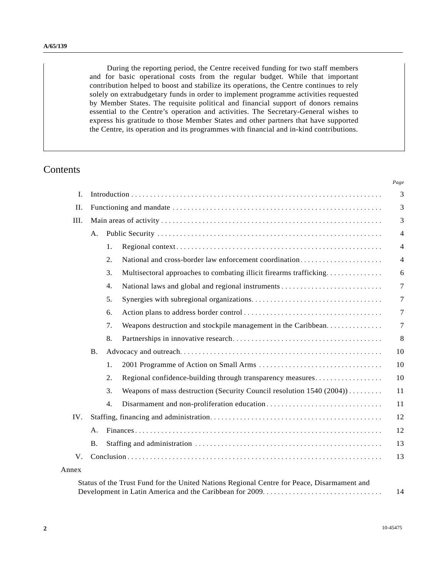During the reporting period, the Centre received funding for two staff members and for basic operational costs from the regular budget. While that important contribution helped to boost and stabilize its operations, the Centre continues to rely solely on extrabudgetary funds in order to implement programme activities requested by Member States. The requisite political and financial support of donors remains essential to the Centre's operation and activities. The Secretary-General wishes to express his gratitude to those Member States and other partners that have supported the Centre, its operation and its programmes with financial and in-kind contributions.

## Contents

|         |           |                                                                                            | Page           |
|---------|-----------|--------------------------------------------------------------------------------------------|----------------|
| I.      |           |                                                                                            |                |
| II.     |           |                                                                                            |                |
| III.    |           |                                                                                            |                |
|         | A.        |                                                                                            | $\overline{4}$ |
|         |           | 1.                                                                                         | $\overline{4}$ |
|         |           | National and cross-border law enforcement coordination<br>2.                               | $\overline{4}$ |
|         |           | 3.<br>Multisectoral approaches to combating illicit firearms trafficking                   | 6              |
|         |           | 4.                                                                                         | $\overline{7}$ |
|         |           | 5.                                                                                         | $\tau$         |
|         |           | 6.                                                                                         | $\tau$         |
|         |           | 7.<br>Weapons destruction and stockpile management in the Caribbean                        | $\overline{7}$ |
|         |           | 8.                                                                                         | 8              |
|         | <b>B.</b> |                                                                                            | 10             |
|         |           | 1.                                                                                         | 10             |
|         |           | 2.<br>Regional confidence-building through transparency measures                           | 10             |
|         |           | 3.<br>Weapons of mass destruction (Security Council resolution 1540 (2004))                | 11             |
|         |           | 4.                                                                                         | 11             |
| IV.     |           |                                                                                            | 12             |
|         | А.        |                                                                                            | 12             |
|         | <b>B.</b> |                                                                                            | 13             |
| $V_{.}$ |           |                                                                                            | 13             |
| Annex   |           |                                                                                            |                |
|         |           | Status of the Trust Fund for the United Nations Regional Centre for Peace, Disarmament and | 14             |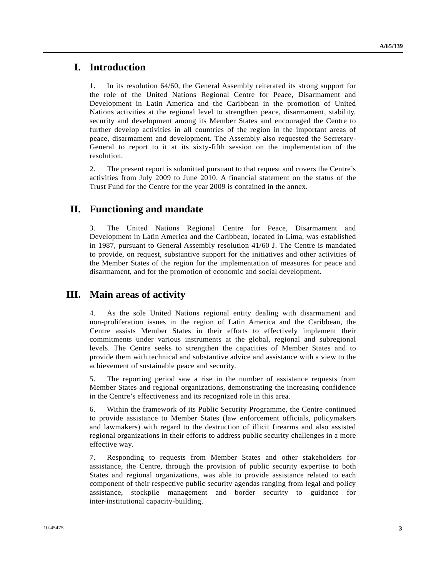## **I. Introduction**

1. In its resolution 64/60, the General Assembly reiterated its strong support for the role of the United Nations Regional Centre for Peace, Disarmament and Development in Latin America and the Caribbean in the promotion of United Nations activities at the regional level to strengthen peace, disarmament, stability, security and development among its Member States and encouraged the Centre to further develop activities in all countries of the region in the important areas of peace, disarmament and development. The Assembly also requested the Secretary-General to report to it at its sixty-fifth session on the implementation of the resolution.

2. The present report is submitted pursuant to that request and covers the Centre's activities from July 2009 to June 2010. A financial statement on the status of the Trust Fund for the Centre for the year 2009 is contained in the annex.

# **II. Functioning and mandate**

3. The United Nations Regional Centre for Peace, Disarmament and Development in Latin America and the Caribbean, located in Lima, was established in 1987, pursuant to General Assembly resolution 41/60 J. The Centre is mandated to provide, on request, substantive support for the initiatives and other activities of the Member States of the region for the implementation of measures for peace and disarmament, and for the promotion of economic and social development.

# **III. Main areas of activity**

4. As the sole United Nations regional entity dealing with disarmament and non-proliferation issues in the region of Latin America and the Caribbean, the Centre assists Member States in their efforts to effectively implement their commitments under various instruments at the global, regional and subregional levels. The Centre seeks to strengthen the capacities of Member States and to provide them with technical and substantive advice and assistance with a view to the achievement of sustainable peace and security.

5. The reporting period saw a rise in the number of assistance requests from Member States and regional organizations, demonstrating the increasing confidence in the Centre's effectiveness and its recognized role in this area.

6. Within the framework of its Public Security Programme, the Centre continued to provide assistance to Member States (law enforcement officials, policymakers and lawmakers) with regard to the destruction of illicit firearms and also assisted regional organizations in their efforts to address public security challenges in a more effective way.

7. Responding to requests from Member States and other stakeholders for assistance, the Centre, through the provision of public security expertise to both States and regional organizations, was able to provide assistance related to each component of their respective public security agendas ranging from legal and policy assistance, stockpile management and border security to guidance for inter-institutional capacity-building.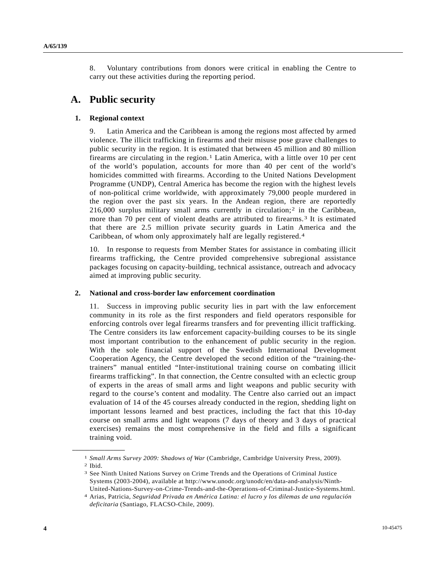8. Voluntary contributions from donors were critical in enabling the Centre to carry out these activities during the reporting period.

# **A. Public security**

#### **1. Regional context**

9. Latin America and the Caribbean is among the regions most affected by armed violence. The illicit trafficking in firearms and their misuse pose grave challenges to public security in the region. It is estimated that between 45 million and 80 million firearms are circulating in the region.[1](#page-3-0) Latin America, with a little over 10 per cent of the world's population, accounts for more than 40 per cent of the world's homicides committed with firearms. According to the United Nations Development Programme (UNDP), Central America has become the region with the highest levels of non-political crime worldwide, with approximately 79,000 people murdered in the region over the past six years. In the Andean region, there are reportedly  $216,000$  surplus military small arms currently in circulation;<sup>2</sup> in the Caribbean, more than 70 per cent of violent deaths are attributed to firearms.[3](#page-3-2) It is estimated that there are 2.5 million private security guards in Latin America and the Caribbean, of whom only approximately half are legally registered.[4](#page-3-3)

10. In response to requests from Member States for assistance in combating illicit firearms trafficking, the Centre provided comprehensive subregional assistance packages focusing on capacity-building, technical assistance, outreach and advocacy aimed at improving public security.

#### **2. National and cross-border law enforcement coordination**

11. Success in improving public security lies in part with the law enforcement community in its role as the first responders and field operators responsible for enforcing controls over legal firearms transfers and for preventing illicit trafficking. The Centre considers its law enforcement capacity-building courses to be its single most important contribution to the enhancement of public security in the region. With the sole financial support of the Swedish International Development Cooperation Agency, the Centre developed the second edition of the "training-thetrainers" manual entitled "Inter-institutional training course on combating illicit firearms trafficking". In that connection, the Centre consulted with an eclectic group of experts in the areas of small arms and light weapons and public security with regard to the course's content and modality. The Centre also carried out an impact evaluation of 14 of the 45 courses already conducted in the region, shedding light on important lessons learned and best practices, including the fact that this 10-day course on small arms and light weapons (7 days of theory and 3 days of practical exercises) remains the most comprehensive in the field and fills a significant training void.

<span id="page-3-2"></span><span id="page-3-1"></span>

<span id="page-3-0"></span><sup>1</sup>*Small Arms Survey 2009: Shadows of War* (Cambridge, Cambridge University Press, 2009). 2 Ibid.

<sup>3</sup> See Ninth United Nations Survey on Crime Trends and the Operations of Criminal Justice Systems (2003-2004), available at http://www.unodc.org/unodc/en/data-and-analysis/Ninth-United-Nations-Survey-on-Crime-Trends-and-the-Operations-of-Criminal-Justice-Systems.html.

<span id="page-3-3"></span><sup>4</sup> Arias, Patricia, *Seguridad Privada en América Latina: el lucro y los dilemas de una regulación deficitaria* (Santiago, FLACSO-Chile, 2009).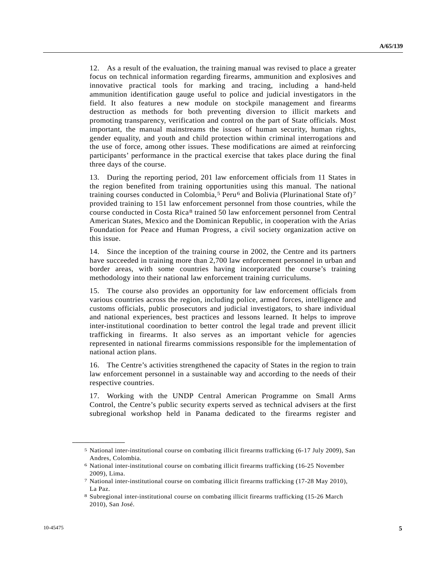12. As a result of the evaluation, the training manual was revised to place a greater focus on technical information regarding firearms, ammunition and explosives and innovative practical tools for marking and tracing, including a hand-held ammunition identification gauge useful to police and judicial investigators in the field. It also features a new module on stockpile management and firearms destruction as methods for both preventing diversion to illicit markets and promoting transparency, verification and control on the part of State officials. Most important, the manual mainstreams the issues of human security, human rights, gender equality, and youth and child protection within criminal interrogations and the use of force, among other issues. These modifications are aimed at reinforcing participants' performance in the practical exercise that takes place during the final three days of the course.

13. During the reporting period, 201 law enforcement officials from 11 States in the region benefited from training opportunities using this manual. The national training courses conducted in Colombia,<sup>[5](#page-4-0)</sup> Peru<sup>[6](#page-4-1)</sup> and Bolivia (Plurinational State of)<sup>[7](#page-4-2)</sup> provided training to 151 law enforcement personnel from those countries, while the course conducted in Costa Rica[8](#page-4-3) trained 50 law enforcement personnel from Central American States, Mexico and the Dominican Republic, in cooperation with the Arias Foundation for Peace and Human Progress, a civil society organization active on this issue.

14. Since the inception of the training course in 2002, the Centre and its partners have succeeded in training more than 2,700 law enforcement personnel in urban and border areas, with some countries having incorporated the course's training methodology into their national law enforcement training curriculums.

15. The course also provides an opportunity for law enforcement officials from various countries across the region, including police, armed forces, intelligence and customs officials, public prosecutors and judicial investigators, to share individual and national experiences, best practices and lessons learned. It helps to improve inter-institutional coordination to better control the legal trade and prevent illicit trafficking in firearms. It also serves as an important vehicle for agencies represented in national firearms commissions responsible for the implementation of national action plans.

16. The Centre's activities strengthened the capacity of States in the region to train law enforcement personnel in a sustainable way and according to the needs of their respective countries.

17. Working with the UNDP Central American Programme on Small Arms Control, the Centre's public security experts served as technical advisers at the first subregional workshop held in Panama dedicated to the firearms register and

<span id="page-4-0"></span><sup>5</sup> National inter-institutional course on combating illicit firearms trafficking (6-17 July 2009), San Andres, Colombia.

<span id="page-4-1"></span><sup>6</sup> National inter-institutional course on combating illicit firearms trafficking (16-25 November 2009), Lima.

<span id="page-4-2"></span><sup>7</sup> National inter-institutional course on combating illicit firearms trafficking (17-28 May 2010), La Paz.

<span id="page-4-3"></span><sup>8</sup> Subregional inter-institutional course on combating illicit firearms trafficking (15-26 March 2010), San José.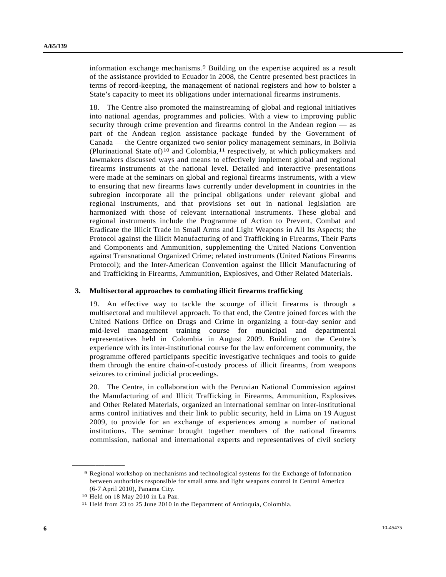information exchange mechanisms.[9](#page-5-0) Building on the expertise acquired as a result of the assistance provided to Ecuador in 2008, the Centre presented best practices in terms of record-keeping, the management of national registers and how to bolster a State's capacity to meet its obligations under international firearms instruments.

18. The Centre also promoted the mainstreaming of global and regional initiatives into national agendas, programmes and policies. With a view to improving public security through crime prevention and firearms control in the Andean region — as part of the Andean region assistance package funded by the Government of Canada — the Centre organized two senior policy management seminars, in Bolivia (Plurinational State of)<sup>[1](#page-5-1)0</sup> and Colombia,<sup>[11](#page-5-2)</sup> respectively, at which policymakers and lawmakers discussed ways and means to effectively implement global and regional firearms instruments at the national level. Detailed and interactive presentations were made at the seminars on global and regional firearms instruments, with a view to ensuring that new firearms laws currently under development in countries in the subregion incorporate all the principal obligations under relevant global and regional instruments, and that provisions set out in national legislation are harmonized with those of relevant international instruments. These global and regional instruments include the Programme of Action to Prevent, Combat and Eradicate the Illicit Trade in Small Arms and Light Weapons in All Its Aspects; the Protocol against the Illicit Manufacturing of and Trafficking in Firearms, Their Parts and Components and Ammunition, supplementing the United Nations Convention against Transnational Organized Crime; related instruments (United Nations Firearms Protocol); and the Inter-American Convention against the Illicit Manufacturing of and Trafficking in Firearms, Ammunition, Explosives, and Other Related Materials.

#### **3. Multisectoral approaches to combating illicit firearms trafficking**

19. An effective way to tackle the scourge of illicit firearms is through a multisectoral and multilevel approach. To that end, the Centre joined forces with the United Nations Office on Drugs and Crime in organizing a four-day senior and mid-level management training course for municipal and departmental representatives held in Colombia in August 2009. Building on the Centre's experience with its inter-institutional course for the law enforcement community, the programme offered participants specific investigative techniques and tools to guide them through the entire chain-of-custody process of illicit firearms, from weapons seizures to criminal judicial proceedings.

20. The Centre, in collaboration with the Peruvian National Commission against the Manufacturing of and Illicit Trafficking in Firearms, Ammunition, Explosives and Other Related Materials, organized an international seminar on inter-institutional arms control initiatives and their link to public security, held in Lima on 19 August 2009, to provide for an exchange of experiences among a number of national institutions. The seminar brought together members of the national firearms commission, national and international experts and representatives of civil society

<span id="page-5-0"></span><sup>9</sup> Regional workshop on mechanisms and technological systems for the Exchange of Information between authorities responsible for small arms and light weapons control in Central America (6-7 April 2010), Panama City.

<span id="page-5-2"></span><span id="page-5-1"></span><sup>10</sup> Held on 18 May 2010 in La Paz.

<sup>11</sup> Held from 23 to 25 June 2010 in the Department of Antioquia, Colombia.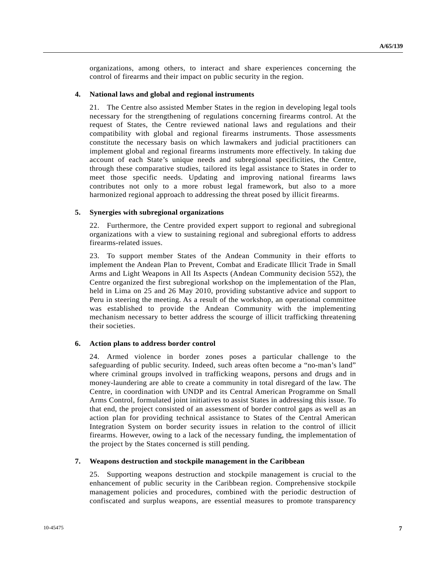organizations, among others, to interact and share experiences concerning the control of firearms and their impact on public security in the region.

#### **4. National laws and global and regional instruments**

21. The Centre also assisted Member States in the region in developing legal tools necessary for the strengthening of regulations concerning firearms control. At the request of States, the Centre reviewed national laws and regulations and their compatibility with global and regional firearms instruments. Those assessments constitute the necessary basis on which lawmakers and judicial practitioners can implement global and regional firearms instruments more effectively. In taking due account of each State's unique needs and subregional specificities, the Centre, through these comparative studies, tailored its legal assistance to States in order to meet those specific needs. Updating and improving national firearms laws contributes not only to a more robust legal framework, but also to a more harmonized regional approach to addressing the threat posed by illicit firearms.

#### **5. Synergies with subregional organizations**

22. Furthermore, the Centre provided expert support to regional and subregional organizations with a view to sustaining regional and subregional efforts to address firearms-related issues.

23. To support member States of the Andean Community in their efforts to implement the Andean Plan to Prevent, Combat and Eradicate Illicit Trade in Small Arms and Light Weapons in All Its Aspects (Andean Community decision 552), the Centre organized the first subregional workshop on the implementation of the Plan, held in Lima on 25 and 26 May 2010, providing substantive advice and support to Peru in steering the meeting. As a result of the workshop, an operational committee was established to provide the Andean Community with the implementing mechanism necessary to better address the scourge of illicit trafficking threatening their societies.

#### **6. Action plans to address border control**

24. Armed violence in border zones poses a particular challenge to the safeguarding of public security. Indeed, such areas often become a "no-man's land" where criminal groups involved in trafficking weapons, persons and drugs and in money-laundering are able to create a community in total disregard of the law. The Centre, in coordination with UNDP and its Central American Programme on Small Arms Control, formulated joint initiatives to assist States in addressing this issue. To that end, the project consisted of an assessment of border control gaps as well as an action plan for providing technical assistance to States of the Central American Integration System on border security issues in relation to the control of illicit firearms. However, owing to a lack of the necessary funding, the implementation of the project by the States concerned is still pending.

#### **7. Weapons destruction and stockpile management in the Caribbean**

25. Supporting weapons destruction and stockpile management is crucial to the enhancement of public security in the Caribbean region. Comprehensive stockpile management policies and procedures, combined with the periodic destruction of confiscated and surplus weapons, are essential measures to promote transparency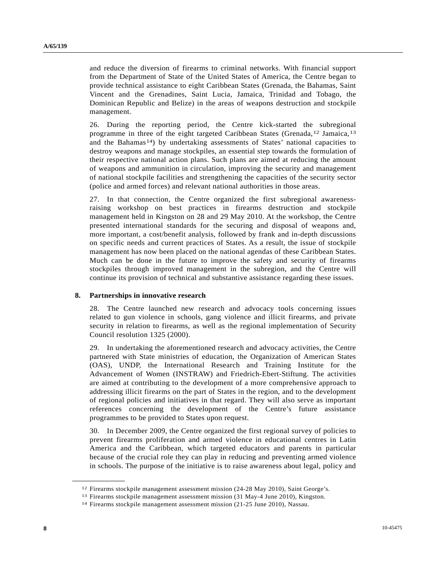and reduce the diversion of firearms to criminal networks. With financial support from the Department of State of the United States of America, the Centre began to provide technical assistance to eight Caribbean States (Grenada, the Bahamas, Saint Vincent and the Grenadines, Saint Lucia, Jamaica, Trinidad and Tobago, the Dominican Republic and Belize) in the areas of weapons destruction and stockpile management.

26. During the reporting period, the Centre kick-started the subregional programme in three of the eight targeted Caribbean States (Grenada,[1](#page-7-0)2 Jamaica,[13](#page-7-1) and the Bahamas<sup>[1](#page-7-2)4</sup>) by undertaking assessments of States' national capacities to destroy weapons and manage stockpiles, an essential step towards the formulation of their respective national action plans. Such plans are aimed at reducing the amount of weapons and ammunition in circulation, improving the security and management of national stockpile facilities and strengthening the capacities of the security sector (police and armed forces) and relevant national authorities in those areas.

27. In that connection, the Centre organized the first subregional awarenessraising workshop on best practices in firearms destruction and stockpile management held in Kingston on 28 and 29 May 2010. At the workshop, the Centre presented international standards for the securing and disposal of weapons and, more important, a cost/benefit analysis, followed by frank and in-depth discussions on specific needs and current practices of States. As a result, the issue of stockpile management has now been placed on the national agendas of these Caribbean States. Much can be done in the future to improve the safety and security of firearms stockpiles through improved management in the subregion, and the Centre will continue its provision of technical and substantive assistance regarding these issues.

#### **8. Partnerships in innovative research**

28. The Centre launched new research and advocacy tools concerning issues related to gun violence in schools, gang violence and illicit firearms, and private security in relation to firearms, as well as the regional implementation of Security Council resolution 1325 (2000).

29. In undertaking the aforementioned research and advocacy activities, the Centre partnered with State ministries of education, the Organization of American States (OAS), UNDP, the International Research and Training Institute for the Advancement of Women (INSTRAW) and Friedrich-Ebert-Stiftung. The activities are aimed at contributing to the development of a more comprehensive approach to addressing illicit firearms on the part of States in the region, and to the development of regional policies and initiatives in that regard. They will also serve as important references concerning the development of the Centre's future assistance programmes to be provided to States upon request.

30. In December 2009, the Centre organized the first regional survey of policies to prevent firearms proliferation and armed violence in educational centres in Latin America and the Caribbean, which targeted educators and parents in particular because of the crucial role they can play in reducing and preventing armed violence in schools. The purpose of the initiative is to raise awareness about legal, policy and

<span id="page-7-0"></span><sup>&</sup>lt;sup>12</sup> Firearms stockpile management assessment mission (24-28 May 2010), Saint George's.<br><sup>13</sup> Firearms stockpile management assessment mission (31 May-4 June 2010), Kingston.<br><sup>14</sup> Firearms stockpile management assessment mi

<span id="page-7-2"></span><span id="page-7-1"></span>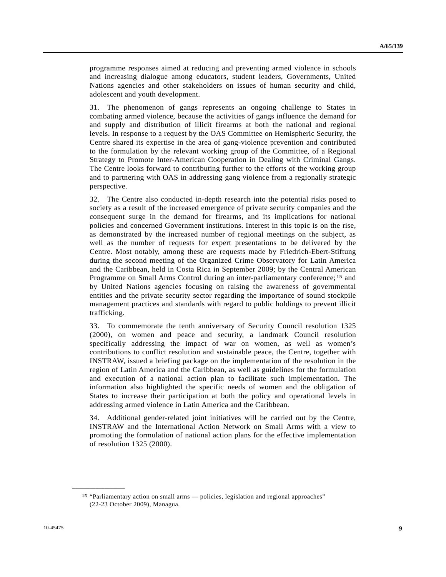programme responses aimed at reducing and preventing armed violence in schools and increasing dialogue among educators, student leaders, Governments, United Nations agencies and other stakeholders on issues of human security and child, adolescent and youth development.

31. The phenomenon of gangs represents an ongoing challenge to States in combating armed violence, because the activities of gangs influence the demand for and supply and distribution of illicit firearms at both the national and regional levels. In response to a request by the OAS Committee on Hemispheric Security, the Centre shared its expertise in the area of gang-violence prevention and contributed to the formulation by the relevant working group of the Committee, of a Regional Strategy to Promote Inter-American Cooperation in Dealing with Criminal Gangs. The Centre looks forward to contributing further to the efforts of the working group and to partnering with OAS in addressing gang violence from a regionally strategic perspective.

32. The Centre also conducted in-depth research into the potential risks posed to society as a result of the increased emergence of private security companies and the consequent surge in the demand for firearms, and its implications for national policies and concerned Government institutions. Interest in this topic is on the rise, as demonstrated by the increased number of regional meetings on the subject, as well as the number of requests for expert presentations to be delivered by the Centre. Most notably, among these are requests made by Friedrich-Ebert-Stiftung during the second meeting of the Organized Crime Observatory for Latin America and the Caribbean, held in Costa Rica in September 2009; by the Central American Programme on Small Arms Control during an inter-parliamentary conference;<sup>[15](#page-8-0)</sup> and by United Nations agencies focusing on raising the awareness of governmental entities and the private security sector regarding the importance of sound stockpile management practices and standards with regard to public holdings to prevent illicit trafficking.

33. To commemorate the tenth anniversary of Security Council resolution 1325 (2000), on women and peace and security, a landmark Council resolution specifically addressing the impact of war on women, as well as women's contributions to conflict resolution and sustainable peace, the Centre, together with INSTRAW, issued a briefing package on the implementation of the resolution in the region of Latin America and the Caribbean, as well as guidelines for the formulation and execution of a national action plan to facilitate such implementation. The information also highlighted the specific needs of women and the obligation of States to increase their participation at both the policy and operational levels in addressing armed violence in Latin America and the Caribbean.

34. Additional gender-related joint initiatives will be carried out by the Centre, INSTRAW and the International Action Network on Small Arms with a view to promoting the formulation of national action plans for the effective implementation of resolution 1325 (2000).

<span id="page-8-0"></span><sup>15 &</sup>quot;Parliamentary action on small arms — policies, legislation and regional approaches" (22-23 October 2009), Managua.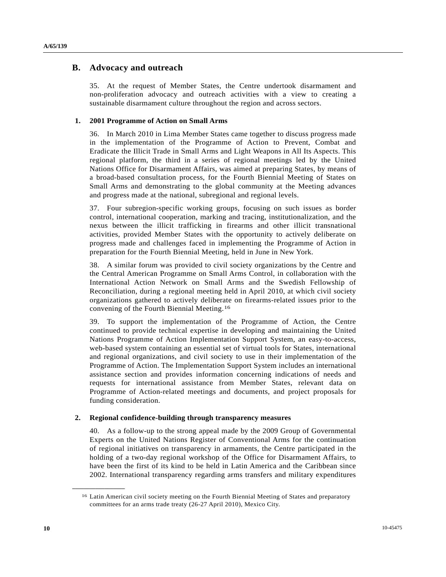### **B. Advocacy and outreach**

35. At the request of Member States, the Centre undertook disarmament and non-proliferation advocacy and outreach activities with a view to creating a sustainable disarmament culture throughout the region and across sectors.

#### **1. 2001 Programme of Action on Small Arms**

36. In March 2010 in Lima Member States came together to discuss progress made in the implementation of the Programme of Action to Prevent, Combat and Eradicate the Illicit Trade in Small Arms and Light Weapons in All Its Aspects. This regional platform, the third in a series of regional meetings led by the United Nations Office for Disarmament Affairs, was aimed at preparing States, by means of a broad-based consultation process, for the Fourth Biennial Meeting of States on Small Arms and demonstrating to the global community at the Meeting advances and progress made at the national, subregional and regional levels.

37. Four subregion-specific working groups, focusing on such issues as border control, international cooperation, marking and tracing, institutionalization, and the nexus between the illicit trafficking in firearms and other illicit transnational activities, provided Member States with the opportunity to actively deliberate on progress made and challenges faced in implementing the Programme of Action in preparation for the Fourth Biennial Meeting, held in June in New York.

38. A similar forum was provided to civil society organizations by the Centre and the Central American Programme on Small Arms Control, in collaboration with the International Action Network on Small Arms and the Swedish Fellowship of Reconciliation, during a regional meeting held in April 2010, at which civil society organizations gathered to actively deliberate on firearms-related issues prior to the convening of the Fourth Biennial Meeting.[1](#page-9-0)6

39. To support the implementation of the Programme of Action, the Centre continued to provide technical expertise in developing and maintaining the United Nations Programme of Action Implementation Support System, an easy-to-access, web-based system containing an essential set of virtual tools for States, international and regional organizations, and civil society to use in their implementation of the Programme of Action. The Implementation Support System includes an international assistance section and provides information concerning indications of needs and requests for international assistance from Member States, relevant data on Programme of Action-related meetings and documents, and project proposals for funding consideration.

#### **2. Regional confidence-building through transparency measures**

40. As a follow-up to the strong appeal made by the 2009 Group of Governmental Experts on the United Nations Register of Conventional Arms for the continuation of regional initiatives on transparency in armaments, the Centre participated in the holding of a two-day regional workshop of the Office for Disarmament Affairs, to have been the first of its kind to be held in Latin America and the Caribbean since 2002. International transparency regarding arms transfers and military expenditures

<span id="page-9-0"></span><sup>16</sup> Latin American civil society meeting on the Fourth Biennial Meeting of States and preparatory committees for an arms trade treaty (26-27 April 2010), Mexico City.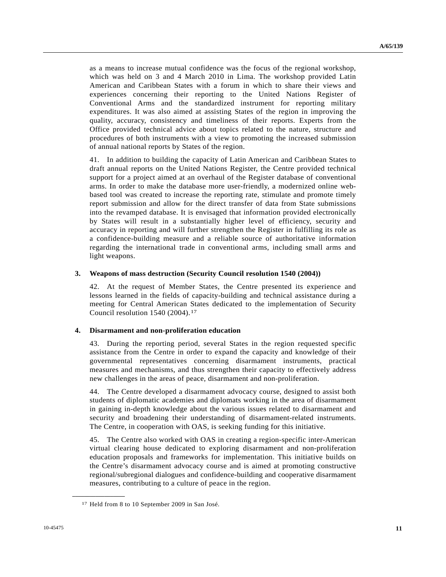as a means to increase mutual confidence was the focus of the regional workshop, which was held on 3 and 4 March 2010 in Lima. The workshop provided Latin American and Caribbean States with a forum in which to share their views and experiences concerning their reporting to the United Nations Register of Conventional Arms and the standardized instrument for reporting military expenditures. It was also aimed at assisting States of the region in improving the quality, accuracy, consistency and timeliness of their reports. Experts from the Office provided technical advice about topics related to the nature, structure and procedures of both instruments with a view to promoting the increased submission of annual national reports by States of the region.

41. In addition to building the capacity of Latin American and Caribbean States to draft annual reports on the United Nations Register, the Centre provided technical support for a project aimed at an overhaul of the Register database of conventional arms. In order to make the database more user-friendly, a modernized online webbased tool was created to increase the reporting rate, stimulate and promote timely report submission and allow for the direct transfer of data from State submissions into the revamped database. It is envisaged that information provided electronically by States will result in a substantially higher level of efficiency, security and accuracy in reporting and will further strengthen the Register in fulfilling its role as a confidence-building measure and a reliable source of authoritative information regarding the international trade in conventional arms, including small arms and light weapons.

#### **3. Weapons of mass destruction (Security Council resolution 1540 (2004))**

42. At the request of Member States, the Centre presented its experience and lessons learned in the fields of capacity-building and technical assistance during a meeting for Central American States dedicated to the implementation of Security Council resolution [1](#page-10-0)540 (2004).<sup>17</sup>

#### **4. Disarmament and non-proliferation education**

43. During the reporting period, several States in the region requested specific assistance from the Centre in order to expand the capacity and knowledge of their governmental representatives concerning disarmament instruments, practical measures and mechanisms, and thus strengthen their capacity to effectively address new challenges in the areas of peace, disarmament and non-proliferation.

44. The Centre developed a disarmament advocacy course, designed to assist both students of diplomatic academies and diplomats working in the area of disarmament in gaining in-depth knowledge about the various issues related to disarmament and security and broadening their understanding of disarmament-related instruments. The Centre, in cooperation with OAS, is seeking funding for this initiative.

45. The Centre also worked with OAS in creating a region-specific inter-American virtual clearing house dedicated to exploring disarmament and non-proliferation education proposals and frameworks for implementation. This initiative builds on the Centre's disarmament advocacy course and is aimed at promoting constructive regional/subregional dialogues and confidence-building and cooperative disarmament measures, contributing to a culture of peace in the region.

<span id="page-10-0"></span><sup>17</sup> Held from 8 to 10 September 2009 in San José.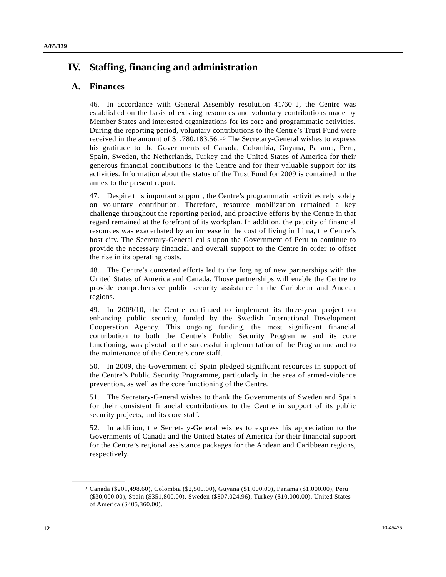# **IV. Staffing, financing and administration**

### **A. Finances**

46. In accordance with General Assembly resolution 41/60 J, the Centre was established on the basis of existing resources and voluntary contributions made by Member States and interested organizations for its core and programmatic activities. During the reporting period, voluntary contributions to the Centre's Trust Fund were received in the amount of \$1,780,183.56.[18](#page-11-0) The Secretary-General wishes to express his gratitude to the Governments of Canada, Colombia, Guyana, Panama, Peru, Spain, Sweden, the Netherlands, Turkey and the United States of America for their generous financial contributions to the Centre and for their valuable support for its activities. Information about the status of the Trust Fund for 2009 is contained in the annex to the present report.

47. Despite this important support, the Centre's programmatic activities rely solely on voluntary contribution. Therefore, resource mobilization remained a key challenge throughout the reporting period, and proactive efforts by the Centre in that regard remained at the forefront of its workplan. In addition, the paucity of financial resources was exacerbated by an increase in the cost of living in Lima, the Centre's host city. The Secretary-General calls upon the Government of Peru to continue to provide the necessary financial and overall support to the Centre in order to offset the rise in its operating costs.

48. The Centre's concerted efforts led to the forging of new partnerships with the United States of America and Canada. Those partnerships will enable the Centre to provide comprehensive public security assistance in the Caribbean and Andean regions.

49. In 2009/10, the Centre continued to implement its three-year project on enhancing public security, funded by the Swedish International Development Cooperation Agency. This ongoing funding, the most significant financial contribution to both the Centre's Public Security Programme and its core functioning, was pivotal to the successful implementation of the Programme and to the maintenance of the Centre's core staff.

50. In 2009, the Government of Spain pledged significant resources in support of the Centre's Public Security Programme, particularly in the area of armed-violence prevention, as well as the core functioning of the Centre.

51. The Secretary-General wishes to thank the Governments of Sweden and Spain for their consistent financial contributions to the Centre in support of its public security projects, and its core staff.

52. In addition, the Secretary-General wishes to express his appreciation to the Governments of Canada and the United States of America for their financial support for the Centre's regional assistance packages for the Andean and Caribbean regions, respectively.

<span id="page-11-0"></span><sup>18</sup> Canada (\$201,498.60), Colombia (\$2,500.00), Guyana (\$1,000.00), Panama (\$1,000.00), Peru (\$30,000.00), Spain (\$351,800.00), Sweden (\$807,024.96), Turkey (\$10,000.00), United States of America (\$405,360.00).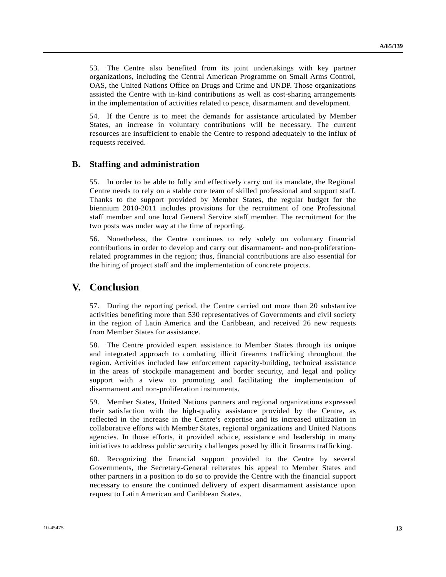53. The Centre also benefited from its joint undertakings with key partner organizations, including the Central American Programme on Small Arms Control, OAS, the United Nations Office on Drugs and Crime and UNDP. Those organizations assisted the Centre with in-kind contributions as well as cost-sharing arrangements in the implementation of activities related to peace, disarmament and development.

54. If the Centre is to meet the demands for assistance articulated by Member States, an increase in voluntary contributions will be necessary. The current resources are insufficient to enable the Centre to respond adequately to the influx of requests received.

### **B. Staffing and administration**

55. In order to be able to fully and effectively carry out its mandate, the Regional Centre needs to rely on a stable core team of skilled professional and support staff. Thanks to the support provided by Member States, the regular budget for the biennium 2010-2011 includes provisions for the recruitment of one Professional staff member and one local General Service staff member. The recruitment for the two posts was under way at the time of reporting.

56. Nonetheless, the Centre continues to rely solely on voluntary financial contributions in order to develop and carry out disarmament- and non-proliferationrelated programmes in the region; thus, financial contributions are also essential for the hiring of project staff and the implementation of concrete projects.

## **V. Conclusion**

57. During the reporting period, the Centre carried out more than 20 substantive activities benefiting more than 530 representatives of Governments and civil society in the region of Latin America and the Caribbean, and received 26 new requests from Member States for assistance.

58. The Centre provided expert assistance to Member States through its unique and integrated approach to combating illicit firearms trafficking throughout the region. Activities included law enforcement capacity-building, technical assistance in the areas of stockpile management and border security, and legal and policy support with a view to promoting and facilitating the implementation of disarmament and non-proliferation instruments.

59. Member States, United Nations partners and regional organizations expressed their satisfaction with the high-quality assistance provided by the Centre, as reflected in the increase in the Centre's expertise and its increased utilization in collaborative efforts with Member States, regional organizations and United Nations agencies. In those efforts, it provided advice, assistance and leadership in many initiatives to address public security challenges posed by illicit firearms trafficking.

60. Recognizing the financial support provided to the Centre by several Governments, the Secretary-General reiterates his appeal to Member States and other partners in a position to do so to provide the Centre with the financial support necessary to ensure the continued delivery of expert disarmament assistance upon request to Latin American and Caribbean States.